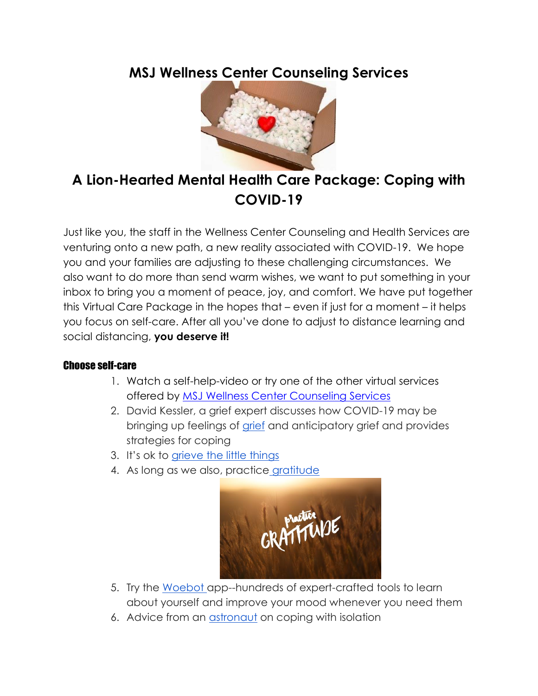### **MSJ Wellness Center Counseling Services**



## **A Lion-Hearted Mental Health Care Package: Coping with COVID-19**

Just like you, the staff in the Wellness Center Counseling and Health Services are venturing onto a new path, a new reality associated with COVID-19. We hope you and your families are adjusting to these challenging circumstances. We also want to do more than send warm wishes, we want to put something in your inbox to bring you a moment of peace, joy, and comfort. We have put together this Virtual Care Package in the hopes that – even if just for a moment – it helps you focus on self-care. After all you've done to adjust to distance learning and social distancing, **you deserve it!**

#### Choose self-care

- 1. Watch a self-help-video or try one of the other virtual services offered by [MSJ Wellness Center Counseling Services](https://mymount.msj.edu/ICS/Mount_Community/Wellness_Center/Counseling_Services.jnz)
- 2. David Kessler, a grief expert discusses how COVID-19 may be bringing up feelings of [grief](https://hbr.org/2020/03/that-discomfort-youre-feeling-is-grief?fbclid=IwAR1MXu2kGGIUm42MJnO8PjnKWu4MBlbga3UmSSTIu1_fczx8UXNbD2Zm1Ik) and anticipatory grief and provides strategies for coping
- 3. It's ok to [grieve the little things](https://themighty.com/2020/03/sad-about-first-world-problems-covid-19/?utm_source=NP&utm_medium=facebook&utm_campaign=National_Suicide_Prevention_Lifeline&fbclid=IwAR1RgfsY1k0RGM0eCjSTtuRtPfMZzK5yksf4tJMfUHXsOYyGAYqxY5jq9Rc)
- 4. As long as we also, practice [gratitude](https://www.youtube.com/watch?v=sCV-mEsASLA)



- 5. Try the [Woebot a](https://woebot.io/)pp--hundreds of expert-crafted tools to learn about yourself and improve your mood whenever you need them
- 6. Advice from an *astronaut* on coping with isolation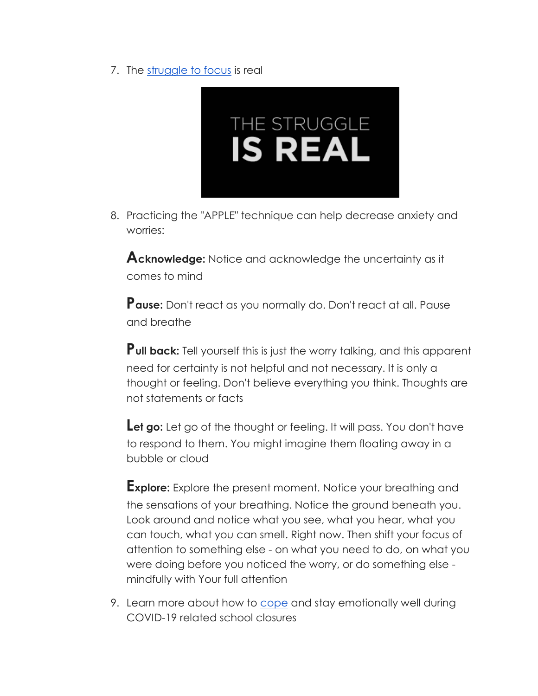7. The [struggle to focus](https://www.nytimes.com/2020/04/09/us/quarantine-mental-health-gender.html) is real



8. Practicing the "APPLE" technique can help decrease anxiety and worries:

**Acknowledge:** Notice and acknowledge the uncertainty as it comes to mind

**Pause:** Don't react as you normally do. Don't react at all. Pause and breathe

**Pull back:** Tell yourself this is just the worry talking, and this apparent need for certainty is not helpful and not necessary. It is only a thought or feeling. Don't believe everything you think. Thoughts are not statements or facts

Let go: Let go of the thought or feeling. It will pass. You don't have to respond to them. You might imagine them floating away in a bubble or cloud

**Explore:** Explore the present moment. Notice your breathing and the sensations of your breathing. Notice the ground beneath you. Look around and notice what you see, what you hear, what you can touch, what you can smell. Right now. Then shift your focus of attention to something else - on what you need to do, on what you were doing before you noticed the worry, or do something else mindfully with Your full attention

9. Learn more about how to [cope](https://www.activeminds.org/blog/coping-and-staying-emotionally-well-during-covid-19-related-school-closures/) and stay emotionally well during COVID-19 related school closures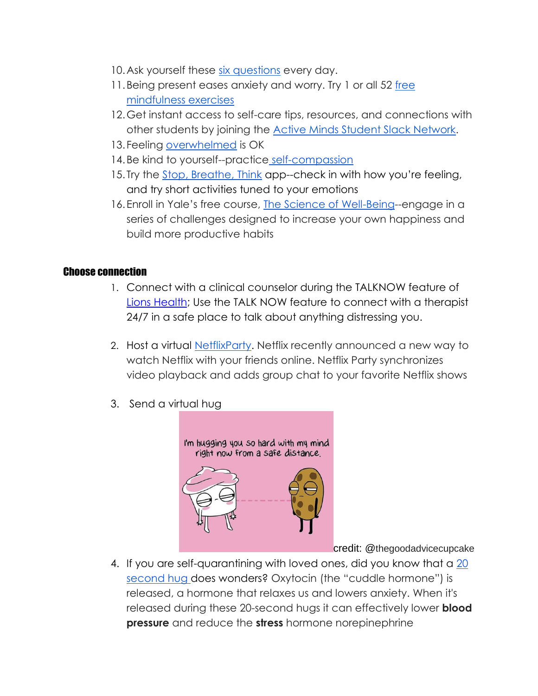- 10.Ask yourself these [six questions](https://greatergood.berkeley.edu/article/item/six_daily_questions_to_ask_yourself_in_quarantine?fbclid=IwAR2nY4Gdcb1bGsHVVc4rnpg3P41BBmeomZ-wK1xwj-N1B6s1kYepIGQA-4c) every day.
- 11. Being present eases anxiety and worry. Try 1 or all 52 free [mindfulness exercises](https://issuu.com/mindfuldistancing/docs/mindfulness_cards)
- 12.Get instant access to self-care tips, resources, and connections with other students by joining the [Active Minds Student Slack Network.](https://www.activeminds.org/programs/chapter-network/chapter-network-slack/)
- 13.Feeling [overwhelmed](https://www.youtube.com/watch?v=oNBvC25bxQU&list=PLZtv9mjVewEStSUK0Pe96Va0919Gh4V9b&fbclid=IwAR2xXfDhooSCjHSzhqmlV95JEO6441qVVaYXR_8wtJC5CjEv0FqhrqF_BmU) is OK
- 14.Be kind to yourself--practice [self-compassion](https://www.youtube.com/watch?v=-kfUE41-JFw)
- 15. Try the [Stop, Breathe, Think](https://www.stopbreathethink.com/) app--check in with how you're feeling, and try short activities tuned to your emotions
- 16.Enroll in Yale's free course, [The Science of Well-Being-](https://www.coursera.org/learn/the-science-of-well-being?utm_source=gg&utm_medium=sem&utm_content=09-ScienceofWellBeing-US&campaignid=9728548210&adgroupid=99699672436&device=c&keyword=science%20of%20well%20being%20yale&matchtype=b&network=g&devicemodel=&adpostion=&creativeid=428321686708&hide_mobile_promo&gclid=CjwKCAjwhOD0BRAQEiwAK7JHmOlCzbYLXEuaCni9GKnR0ZzM4uMrshfA2ql_ZuPLBxveAlaE6BV3DxoCwmAQAvD_BwE)-engage in a series of challenges designed to increase your own happiness and build more productive habits

#### Choose connection

- 1. Connect with a clinical counselor during the TALKNOW feature of [Lions Health;](https://mymount.msj.edu/ICS/Mount_Community/Wellness_Center/LionsHealth.jnz) Use the TALK NOW feature to connect with a therapist 24/7 in a safe place to talk about anything distressing you.
- 2. Host a virtual [NetflixParty.](https://www.netflixparty.com/) Netflix recently announced a new way to watch Netflix with your friends online. Netflix Party synchronizes video playback and adds group chat to your favorite Netflix shows
- 3. Send a virtual hug



credit: @thegoodadvicecupcake

4. If you are self-quarantining with loved ones, did you know that a 20 [second hug d](https://www.health.harvard.edu/newsletter_article/In_brief_Hugs_heartfelt_in_more_ways_than_one)oes wonders? Oxytocin (the "cuddle hormone") is released, a hormone that relaxes us and lowers anxiety. When it's released during these 20-second hugs it can effectively lower **blood pressure** and reduce the **stress** hormone norepinephrine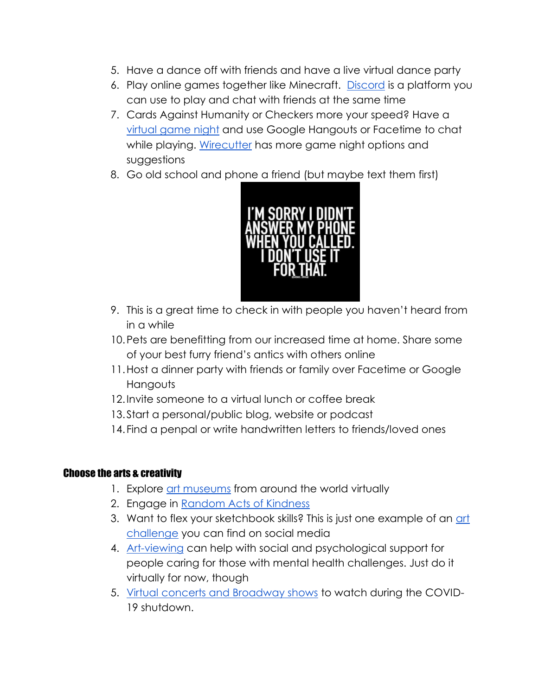- 5. Have a dance off with friends and have a live virtual dance party
- 6. Play online games together like Minecraft. [Discord](https://discordapp.com/) is a platform you can use to play and chat with friends at the same time
- 7. Cards Against Humanity or Checkers more your speed? Have a [virtual game night](http://playingcards.io/) and use Google Hangouts or Facetime to chat while playing. [Wirecutter](https://thewirecutter.com/blog/virtual-game-night/) has more game night options and suggestions
- 8. Go old school and phone a friend (but maybe text them first)



- 9. This is a great time to check in with people you haven't heard from in a while
- 10.Pets are benefitting from our increased time at home. Share some of your best furry friend's antics with others online
- 11.Host a dinner party with friends or family over Facetime or Google **Hangouts**
- 12.Invite someone to a virtual lunch or coffee break
- 13.Start a personal/public blog, website or podcast
- 14.Find a penpal or write handwritten letters to friends/loved ones

#### Choose the arts & creativity

- 1. Explore [art museums](https://hyperallergic.com/547919/2500-virtual-museum-tours-google-arts-culture/) from around the world virtuall[y](https://hyperallergic.com/547919/2500-virtual-museum-tours-google-arts-culture/)
- 2. Engage in [Random Acts of Kindness](https://www.randomactsofkindness.org/)
- 3. Want to flex your sketchbook skills? This is just one example of an art [challenge](https://www.instagram.com/huron.art.rats/?hl=en) you can find on social media
- 4. [Art-viewing](https://www.researchgate.net/publication/233000662_New_roles_for_art_galleries_Art-viewing_as_a_community_intervention_for_family_carers_of_people_with_mental_health_problems) can help with social and psychological support for people caring for those with mental health challenges. Just do it virtually for now, thoug[h](https://www.researchgate.net/publication/233000662_New_roles_for_art_galleries_Art-viewing_as_a_community_intervention_for_family_carers_of_people_with_mental_health_problems)
- 5. [Virtual concerts and Broadway shows](https://www.thewrap.com/how-to-watch-concerts-and-broadway-shows-during-the-coronavirus-shutdown/) to watch during the COVID-19 shutdown.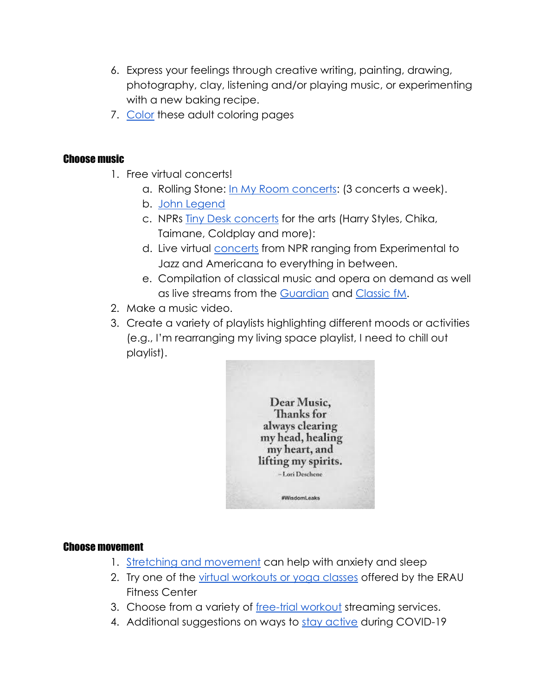- 6. Express your feelings through creative writing, painting, drawing, photography, clay, listening and/or playing music, or experimenting with a new baking recipe.
- 7. [Color](https://www.changetochill.org/activities-tools/) these adult coloring pages

#### Choose music

- 1. Free virtual concerts!
	- a. Rolling Stone: [In My Room concerts:](https://www.instagram.com/rollingstone/channel/) (3 concerts a week).
	- b. [John Legend](https://www.instagram.com/tv/B920EARl9XS/)
	- c. NPRs [Tiny Desk concerts](https://www.npr.org/series/tiny-desk-concerts/) for the arts (Harry Styles, Chika, Taimane, Coldplay and more):
	- d. Live virtual [concerts](https://www.npr.org/2020/03/17/816504058/a-list-of-live-virtual-concerts-to-watch-during-the-coronavirus-shutdown) from NPR ranging from Experimental to Jazz and Americana to everything in between.
	- e. Compilation of classical music and opera on demand as well as live streams from the [Guardian](https://www.theguardian.com/music/2020/mar/16/classical-music-opera-livestream-at-home-coronavirus) and [Classic fM.](https://www.classicfm.com/music-news/live-streamed-classical-music-concerts-coronavirus/)
- 2. Make a music video.
- 3. Create a variety of playlists highlighting different moods or activities (e.g., I'm rearranging my living space playlist, I need to chill out playlist).



#### Choose movement

- 1. [Stretching and movement](https://www.cnn.com/2020/03/13/health/insomnia-anxiety-relief-stretches-wellness/index.html) can help with anxiety and slee[p](https://www.cnn.com/2020/03/13/health/insomnia-anxiety-relief-stretches-wellness/index.html)
- 2. Try one of the [virtual workouts or yoga classes](https://ernie.erau.edu/Departments/fitness-center/Pages/announcementsDetail.aspx?itemID=27) offered by the ERAU Fitness Center
- 3. Choose from a variety of [free-trial workout](https://www.cnbc.com/2020/03/16/best-home-workout-streaming-services-to-try-during-covid-19-pandemic.html) streaming services[.](https://www.cnbc.com/2020/03/16/best-home-workout-streaming-services-to-try-during-covid-19-pandemic.html)
- 4. Additional suggestions on ways to [stay active](https://www.exerciseismedicine.org/support_page.php/stories/?b=892) during COVID-1[9](https://www.exerciseismedicine.org/support_page.php/stories/?b=892)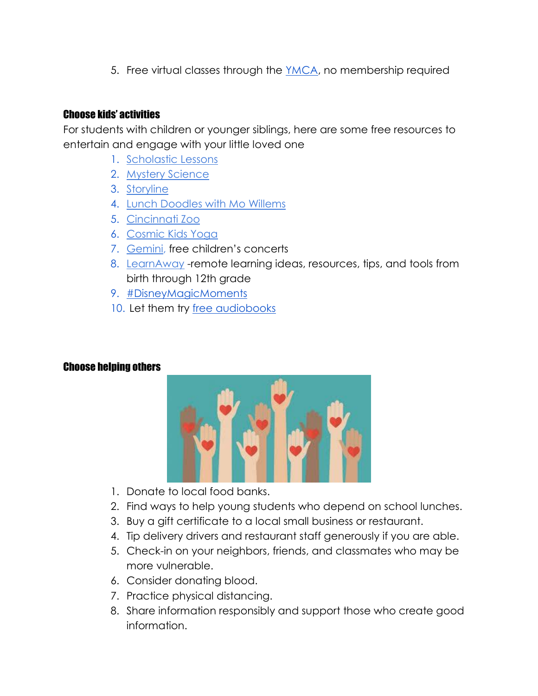5. Free virtual classes through the [YMCA,](https://ymca360.org/) no membership required

#### Choose kids' activities

For students with children or younger siblings, here are some free resources to entertain and engage with your little loved on[e](https://classroommagazines.scholastic.com/support/learnathome/grades-3-5.html?promo_code=6294&magazineName=classroommagazines)

- 1. [Scholastic Lessons](https://classroommagazines.scholastic.com/support/learnathome/grades-3-5.html?promo_code=6294&magazineName=classroommagazines)
- 2. [Mystery Science](https://mysteryscience.com/school-closure-planning)
- 3. [Storyline](https://www.storylineonline.net/)
- 4. [Lunch Doodles with Mo Willems](https://www.youtube.com/watch?v=RmzjCPQv3y8)
- 5. [Cincinnati Zoo](https://www.youtube.com/watch?v=znhf46fjQ00&feature=emb_logo)
- 6. [Cosmic Kids Yoga](https://www.cosmickids.com/)
- 7. [Gemini,](https://www.facebook.com/GeminiChildrensMusic/) free children's concerts
- 8. [LearnAway](https://learnaway.education.illinois.edu/) -remote learning ideas, resources, tips, and tools from birth through 12th grade
- 9. [#DisneyMagicMoments](https://news.disney.com/magicmoments)
- 10. Let them try [free audiobooks](https://stories.audible.com/start-listen)

#### Choose helping others



- 1. Donate to local food banks.
- 2. Find ways to help young students who depend on school lunches.
- 3. Buy a gift certificate to a local small business or restaurant.
- 4. Tip delivery drivers and restaurant staff generously if you are able.
- 5. Check-in on your neighbors, friends, and classmates who may be more vulnerable.
- 6. Consider donating blood.
- 7. Practice physical distancing.
- 8. Share information responsibly and support those who create good information.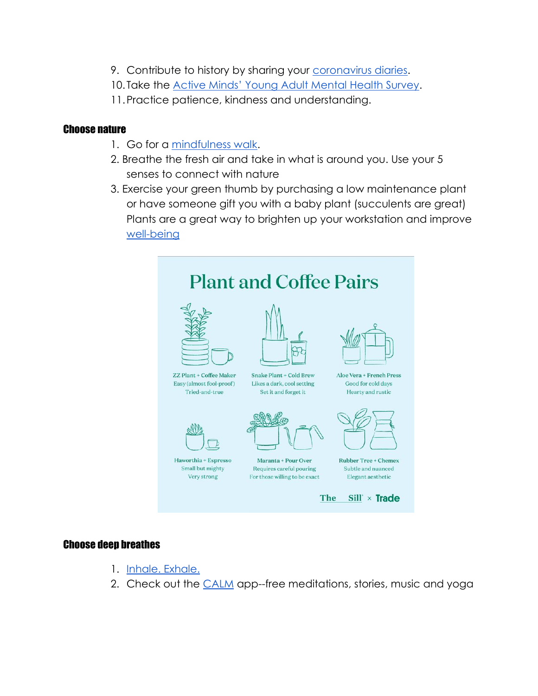- 9. Contribute to history by sharing your [coronavirus diaries.](https://www.nytimes.com/2020/04/13/smarter-living/why-you-should-start-a-coronavirus-diary.html)
- 10. Take the [Active Minds' Young Adult Mental Health Survey](https://www.surveymonkey.com/r/JNTSDC9?sm_guid=MzMyNTg2fDIyMjg1MDU1fC0xfGxhdXJhQGFjdGl2ZW1pbmRzLm9yZ3wyNjM3MzQzfHwwfDB8NzAxOTMxMjJ8OTUxfDB8MHx8MzAwNjcy0&fbclid=IwAR3a9aW4oCMw_gj_ta1j1R8drCL1RfuxKIVdRZf5f5ORDfvF726bZimQq_k).
- 11.Practice patience, kindness and understanding.

#### Choose nature

- 1. Go for a [mindfulness walk.](https://www.changetochill.org/wp-content/uploads/2015/08/420547-CTC-Mindful-walking-graphic.pdf)
- 2. Breathe the fresh air and take in what is around you. Use your 5 senses to connect with nature
- 3. Exercise your green thumb by purchasing a low maintenance plant or have someone gift you with a baby plant (succulents are great) Plants are a great way to brighten up your workstation and improve [well-being](https://www.researchgate.net/publication/264395358_The_Relative_Benefits_of_Green_Versus_Lean_Office_Space_Three_Field_Experiments)



#### Choose deep breathes

- 1. [Inhale. Exhale.](https://www.healthline.com/health/box-breathing#slowly-exhale)
- 2. Check out the [CALM](https://www.calm.com/blog/take-a-deep-breath?utm_source=lifecycle&utm_medium=email&utm_campaign=difficult_times_nonsubs_031720) app--free meditations, stories, music and yoga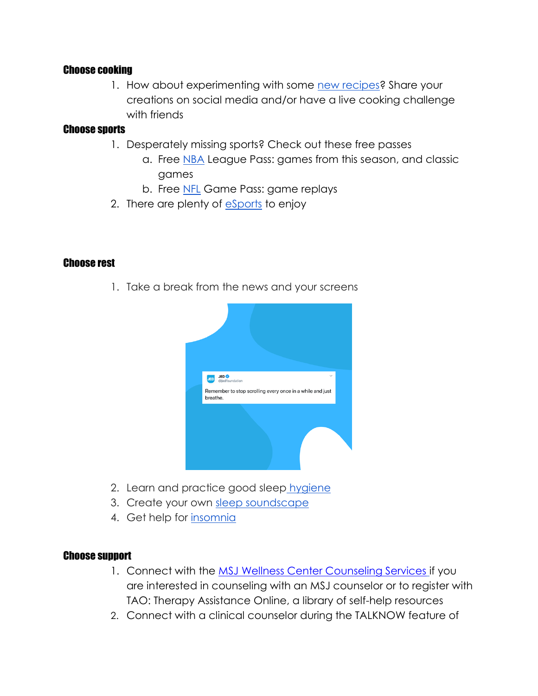#### Choose cooking

1. How about experimenting with some [new recipes?](https://www.nytimes.com/article/easy-recipes-coronavirus.html) Share your creations on social media and/or have a live cooking challenge with friends

#### Choose sports

- 1. Desperately missing sports? Check out these free passes
	- a. Free [NBA](https://www.nba.com/nba-fan-letter-league-pass-free-preview) League Pass: games from this season, and classic games
	- b. Free [NFL](http://www.nfl.com/news/story/0ap3000001106855/article/nfl-offers-fans-free-access-to-nfl-game-pass) Game Pass: game replays
- 2. There are plenty of [eSports](https://sportsnaut.com/2020/03/beginners-guide-to-esports-best-places-to-watch-esports/) to enjoy

#### Choose rest

1. Take a break from the news and your screens



- 2. Learn and practice good sleep hygiene
- 3. Create your own [sleep soundscape](https://www.relaxmelodies.com/home/?utm_expid=.P1gqxCs8TYuGTBlAbE0VkQ.1&utm_referrer=)
- 4. Get help for [insomnia](https://www.sleepfoundation.org/insomnia/treatment/what-do-when-you-cant-sleep)

#### Choose support

- 1. Connect with the [MSJ Wellness Center Counseling Services](https://mymount.msj.edu/ICS/Mount_Community/Wellness_Center/Counseling_Services.jnz) if you are interested in counseling with an MSJ counselor or to register with TAO: Therapy Assistance Online, a library of self-help resources
- 2. Connect with a clinical counselor during the TALKNOW feature of